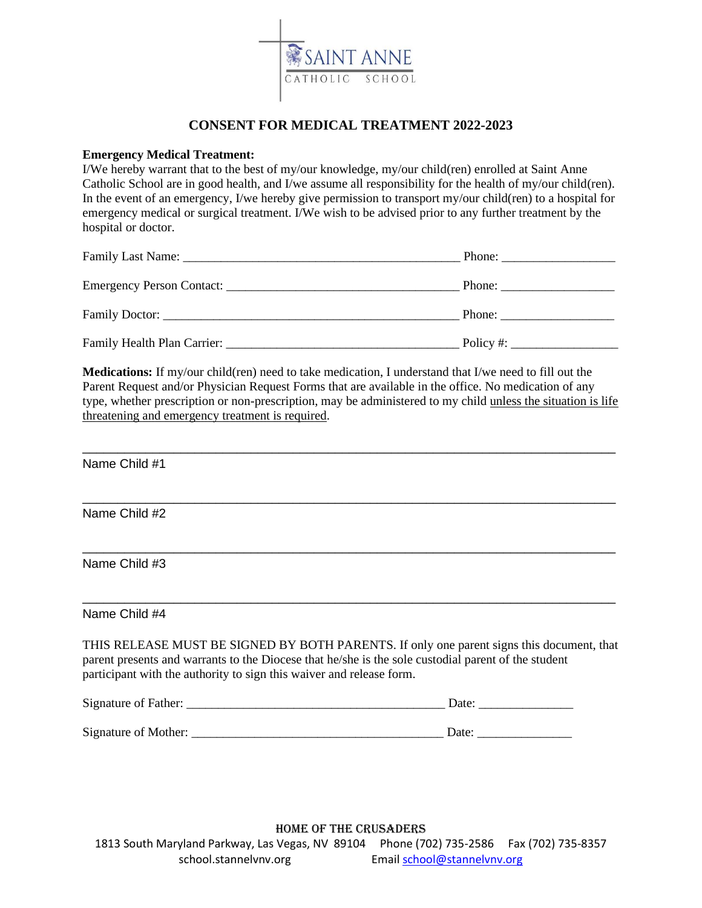

## **CONSENT FOR MEDICAL TREATMENT 2022-2023**

## **Emergency Medical Treatment:**

I/We hereby warrant that to the best of my/our knowledge, my/our child(ren) enrolled at Saint Anne Catholic School are in good health, and I/we assume all responsibility for the health of my/our child(ren). In the event of an emergency, I/we hereby give permission to transport my/our child(ren) to a hospital for emergency medical or surgical treatment. I/We wish to be advised prior to any further treatment by the hospital or doctor.

| Phone: $\frac{1}{\sqrt{1-\frac{1}{2}} \cdot \frac{1}{2}}$ |
|-----------------------------------------------------------|
|                                                           |
|                                                           |
| Policy #: $\qquad \qquad$                                 |

**Medications:** If my/our child(ren) need to take medication, I understand that I/we need to fill out the Parent Request and/or Physician Request Forms that are available in the office. No medication of any type, whether prescription or non-prescription, may be administered to my child unless the situation is life threatening and emergency treatment is required.

\_\_\_\_\_\_\_\_\_\_\_\_\_\_\_\_\_\_\_\_\_\_\_\_\_\_\_\_\_\_\_\_\_\_\_\_\_\_\_\_\_\_\_\_\_\_\_\_\_\_\_\_\_\_\_\_\_\_\_\_\_\_\_\_\_\_\_\_\_\_\_\_\_\_\_\_

\_\_\_\_\_\_\_\_\_\_\_\_\_\_\_\_\_\_\_\_\_\_\_\_\_\_\_\_\_\_\_\_\_\_\_\_\_\_\_\_\_\_\_\_\_\_\_\_\_\_\_\_\_\_\_\_\_\_\_\_\_\_\_\_\_\_\_\_\_\_\_\_\_\_\_\_

\_\_\_\_\_\_\_\_\_\_\_\_\_\_\_\_\_\_\_\_\_\_\_\_\_\_\_\_\_\_\_\_\_\_\_\_\_\_\_\_\_\_\_\_\_\_\_\_\_\_\_\_\_\_\_\_\_\_\_\_\_\_\_\_\_\_\_\_\_\_\_\_\_\_\_\_

\_\_\_\_\_\_\_\_\_\_\_\_\_\_\_\_\_\_\_\_\_\_\_\_\_\_\_\_\_\_\_\_\_\_\_\_\_\_\_\_\_\_\_\_\_\_\_\_\_\_\_\_\_\_\_\_\_\_\_\_\_\_\_\_\_\_\_\_\_\_\_\_\_\_\_\_

Name Child #1

Name Child #2

Name Child #3

Name Child #4

THIS RELEASE MUST BE SIGNED BY BOTH PARENTS. If only one parent signs this document, that parent presents and warrants to the Diocese that he/she is the sole custodial parent of the student participant with the authority to sign this waiver and release form.

| Signature of Father: | Date: |
|----------------------|-------|
|                      |       |
| Signature of Mother: | Date: |